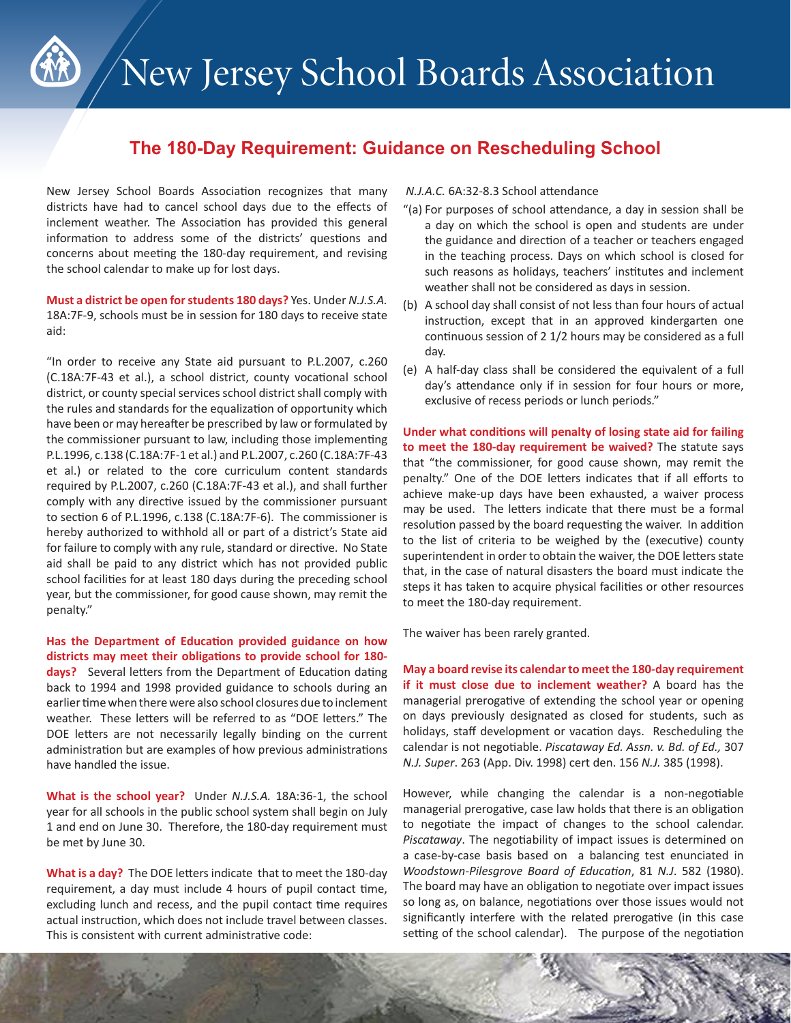

## **The 180-Day Requirement: Guidance on Rescheduling School**

New Jersey School Boards Association recognizes that many districts have had to cancel school days due to the effects of inclement weather. The Association has provided this general information to address some of the districts' questions and concerns about meeting the 180-day requirement, and revising the school calendar to make up for lost days.

**Must a district be open for students 180 days?** Yes. Under *N.J.S.A.*  18A:7F-9, schools must be in session for 180 days to receive state aid:

"In order to receive any State aid pursuant to P.L.2007, c.260 (C.18A:7F-43 et al.), a school district, county vocational school district, or county special services school district shall comply with the rules and standards for the equalization of opportunity which have been or may hereafter be prescribed by law or formulated by the commissioner pursuant to law, including those implementing P.L.1996, c.138 (C.18A:7F-1 et al.) and P.L.2007, c.260 (C.18A:7F-43 et al.) or related to the core curriculum content standards required by P.L.2007, c.260 (C.18A:7F-43 et al.), and shall further comply with any directive issued by the commissioner pursuant to section 6 of P.L.1996, c.138 (C.18A:7F-6). The commissioner is hereby authorized to withhold all or part of a district's State aid for failure to comply with any rule, standard or directive. No State aid shall be paid to any district which has not provided public school facilities for at least 180 days during the preceding school year, but the commissioner, for good cause shown, may remit the penalty."

**Has the Department of Education provided guidance on how districts may meet their obligations to provide school for 180 days?** Several letters from the Department of Education dating back to 1994 and 1998 provided guidance to schools during an earlier time when there were also school closures due to inclement weather. These letters will be referred to as "DOE letters." The DOE letters are not necessarily legally binding on the current administration but are examples of how previous administrations have handled the issue.

**What is the school year?** Under *N.J.S.A.* 18A:36-1, the school year for all schools in the public school system shall begin on July 1 and end on June 30. Therefore, the 180-day requirement must be met by June 30.

**What is a day?** The DOE letters indicate that to meet the 180-day requirement, a day must include 4 hours of pupil contact time, excluding lunch and recess, and the pupil contact time requires actual instruction, which does not include travel between classes. This is consistent with current administrative code:

#### *N.J.A.C.* 6A:32-8.3 School attendance

- "(a) For purposes of school attendance, a day in session shall be a day on which the school is open and students are under the guidance and direction of a teacher or teachers engaged in the teaching process. Days on which school is closed for such reasons as holidays, teachers' institutes and inclement weather shall not be considered as days in session.
- (b) A school day shall consist of not less than four hours of actual instruction, except that in an approved kindergarten one continuous session of 2 1/2 hours may be considered as a full day.
- (e) A half-day class shall be considered the equivalent of a full day's attendance only if in session for four hours or more, exclusive of recess periods or lunch periods."

**Under what conditions will penalty of losing state aid for failing to meet the 180-day requirement be waived?** The statute says that "the commissioner, for good cause shown, may remit the penalty." One of the DOE letters indicates that if all efforts to achieve make-up days have been exhausted, a waiver process may be used. The letters indicate that there must be a formal resolution passed by the board requesting the waiver. In addition to the list of criteria to be weighed by the (executive) county superintendent in order to obtain the waiver, the DOE letters state that, in the case of natural disasters the board must indicate the steps it has taken to acquire physical facilities or other resources to meet the 180-day requirement.

The waiver has been rarely granted.

**May a board revise its calendar to meet the 180-day requirement if it must close due to inclement weather?** A board has the managerial prerogative of extending the school year or opening on days previously designated as closed for students, such as holidays, staff development or vacation days. Rescheduling the calendar is not negotiable. *Piscataway Ed. Assn. v. Bd. of Ed.,* 307 *N.J. Super*. 263 (App. Div. 1998) cert den. 156 *N.J.* 385 (1998).

However, while changing the calendar is a non-negotiable managerial prerogative, case law holds that there is an obligation to negotiate the impact of changes to the school calendar. *Piscataway*. The negotiability of impact issues is determined on a case-by-case basis based on a balancing test enunciated in *Woodstown-Pilesgrove Board of Education*, 81 *N.J*. 582 (1980). The board may have an obligation to negotiate over impact issues so long as, on balance, negotiations over those issues would not significantly interfere with the related prerogative (in this case setting of the school calendar). The purpose of the negotiation